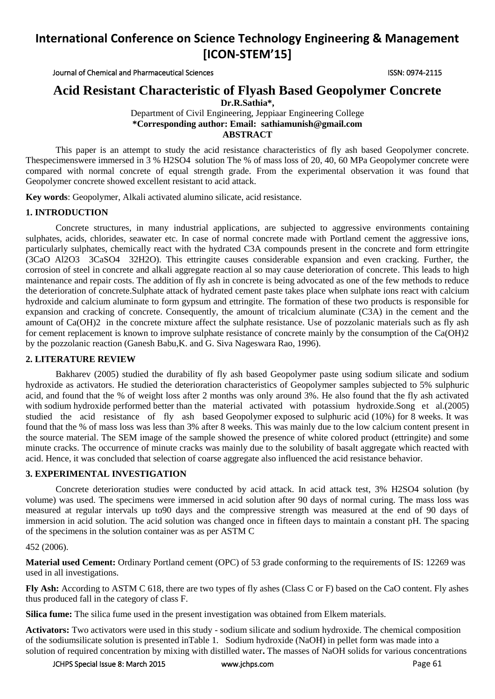# **International Conference on Science Technology Engineering & Management [ICON-STEM'15]**

Journal of Chemical and Pharmaceutical Sciences ISSN: 0974-2115

# **Acid Resistant Characteristic of Flyash Based Geopolymer Concrete**

**Dr.R.Sathia\*,**

Department of Civil Engineering, Jeppiaar Engineering College **\*Corresponding author: Email: [sathiamunish@gmail.com](mailto:sathiamunish@gmail.com) ABSTRACT**

This paper is an attempt to study the acid resistance characteristics of fly ash based Geopolymer concrete. Thespecimenswere immersed in 3 % H2SO4 solution The % of mass loss of 20, 40, 60 MPa Geopolymer concrete were compared with normal concrete of equal strength grade. From the experimental observation it was found that Geopolymer concrete showed excellent resistant to acid attack.

**Key words**: Geopolymer, Alkali activated alumino silicate, acid resistance.

## **1. INTRODUCTION**

Concrete structures, in many industrial applications, are subjected to aggressive environments containing sulphates, acids, chlorides, seawater etc. In case of normal concrete made with Portland cement the aggressive ions, particularly sulphates, chemically react with the hydrated C3A compounds present in the concrete and form ettringite (3CaO Al2O3 3CaSO4 32H2O). This ettringite causes considerable expansion and even cracking. Further, the corrosion of steel in concrete and alkali aggregate reaction al so may cause deterioration of concrete. This leads to high maintenance and repair costs. The addition of fly ash in concrete is being advocated as one of the few methods to reduce the deterioration of concrete.Sulphate attack of hydrated cement paste takes place when sulphate ions react with calcium hydroxide and calcium aluminate to form gypsum and ettringite. The formation of these two products is responsible for expansion and cracking of concrete. Consequently, the amount of tricalcium aluminate (C3A) in the cement and the amount of Ca(OH)2 in the concrete mixture affect the sulphate resistance. Use of pozzolanic materials such as fly ash for cement replacement is known to improve sulphate resistance of concrete mainly by the consumption of the Ca(OH)2 by the pozzolanic reaction (Ganesh Babu,K. and G. Siva Nageswara Rao, 1996).

#### **2. LITERATURE REVIEW**

Bakharev (2005) studied the durability of fly ash based Geopolymer paste using sodium silicate and sodium hydroxide as activators. He studied the deterioration characteristics of Geopolymer samples subjected to 5% sulphuric acid, and found that the % of weight loss after 2 months was only around 3%. He also found that the fly ash activated with sodium hydroxide performed better than the material activated with potassium hydroxide.Song et al.(2005) studied the acid resistance of fly ash based Geopolymer exposed to sulphuric acid (10%) for 8 weeks. It was found that the % of mass loss was less than 3% after 8 weeks. This was mainly due to the low calcium content present in the source material. The SEM image of the sample showed the presence of white colored product (ettringite) and some minute cracks. The occurrence of minute cracks was mainly due to the solubility of basalt aggregate which reacted with acid. Hence, it was concluded that selection of coarse aggregate also influenced the acid resistance behavior.

#### **3. EXPERIMENTAL INVESTIGATION**

Concrete deterioration studies were conducted by acid attack. In acid attack test, 3% H2SO4 solution (by volume) was used. The specimens were immersed in acid solution after 90 days of normal curing. The mass loss was measured at regular intervals up to90 days and the compressive strength was measured at the end of 90 days of immersion in acid solution. The acid solution was changed once in fifteen days to maintain a constant pH. The spacing of the specimens in the solution container was as per ASTM C

#### 452 (2006).

**Material used Cement:** Ordinary Portland cement (OPC) of 53 grade conforming to the requirements of IS: 12269 was used in all investigations.

**Fly Ash:** According to ASTM C 618, there are two types of fly ashes (Class C or F) based on the CaO content. Fly ashes thus produced fall in the category of class F.

**Silica fume:** The silica fume used in the present investigation was obtained from Elkem materials.

**Activators:** Two activators were used in this study - sodium silicate and sodium hydroxide. The chemical composition of the sodiumsilicate solution is presented inTable 1. Sodium hydroxide (NaOH) in pellet form was made into a solution of required concentration by mixing with distilled water**.** The masses of NaOH solids for various concentrations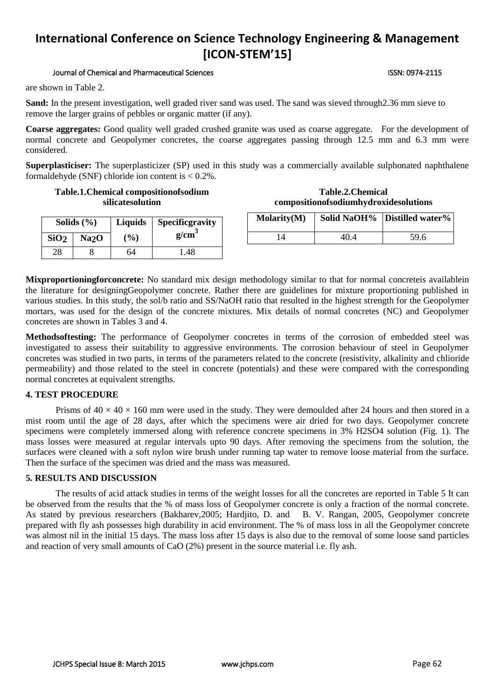# **International Conference on Science Technology Engineering & Management [ICON-STEM'15]**

#### Journal of Chemical and Pharmaceutical Sciences ISSN: 0974-2115

are shown in Table 2.

**Sand:** In the present investigation, well graded river sand was used. The sand was sieved through2.36 mm sieve to remove the larger grains of pebbles or organic matter (if any).

**Coarse aggregates:** Good quality well graded crushed granite was used as coarse aggregate. For the development of normal concrete and Geopolymer concretes, the coarse aggregates passing through 12.5 mm and 6.3 mm were considered.

**Superplasticiser:** The superplasticizer (SP) used in this study was a commercially available sulphonated naphthalene formaldehyde (SNF) chloride ion content is < 0.2%.

#### **Table.1.Chemical compositionofsodium silicatesolution**

| Solids $(\% )$   |      | <b>Liquids</b> | Specificgravity   |  |  |
|------------------|------|----------------|-------------------|--|--|
| SiO <sub>2</sub> | Na2O | $($ %)         | g/cm <sup>3</sup> |  |  |
| 28               |      | 64             | -48               |  |  |

| Table.2. Chemical                     |
|---------------------------------------|
| compositionofsodiumhydroxidesolutions |

|                          | <b>Molarity(M)</b> | Solid NaOH% Distilled water% |  |
|--------------------------|--------------------|------------------------------|--|
| 59.6<br>40.4<br>$\Delta$ |                    |                              |  |

**Mixproportioningforconcrete:** No standard mix design methodology similar to that for normal concreteis availablein the literature for designingGeopolymer concrete. Rather there are guidelines for mixture proportioning published in various studies. In this study, the sol/b ratio and SS/NaOH ratio that resulted in the highest strength for the Geopolymer mortars, was used for the design of the concrete mixtures. Mix details of normal concretes (NC) and Geopolymer concretes are shown in Tables 3 and 4.

**Methodsoftesting:** The performance of Geopolymer concretes in terms of the corrosion of embedded steel was investigated to assess their suitability to aggressive environments. The corrosion behaviour of steel in Geopolymer concretes was studied in two parts, in terms of the parameters related to the concrete (resistivity, alkalinity and chlioride permeability) and those related to the steel in concrete (potentials) and these were compared with the corresponding normal concretes at equivalent strengths.

### **4. TEST PROCEDURE**

Prisms of  $40 \times 40 \times 160$  mm were used in the study. They were demoulded after 24 hours and then stored in a mist room until the age of 28 days, after which the specimens were air dried for two days. Geopolymer concrete specimens were completely immersed along with reference concrete specimens in 3% H2SO4 solution (Fig. 1). The mass losses were measured at regular intervals upto 90 days. After removing the specimens from the solution, the surfaces were cleaned with a soft nylon wire brush under running tap water to remove loose material from the surface. Then the surface of the specimen was dried and the mass was measured.

## **5. RESULTS AND DISCUSSION**

The results of acid attack studies in terms of the weight losses for all the concretes are reported in Table 5 It can be observed from the results that the % of mass loss of Geopolymer concrete is only a fraction of the normal concrete. As stated by previous researchers (Bakharev,2005; Hardjito, D. and B. V. Rangan, 2005, Geopolymer concrete prepared with fly ash possesses high durability in acid environment. The % of mass loss in all the Geopolymer concrete was almost nil in the initial 15 days. The mass loss after 15 days is also due to the removal of some loose sand particles and reaction of very small amounts of CaO (2%) present in the source material i.e. fly ash.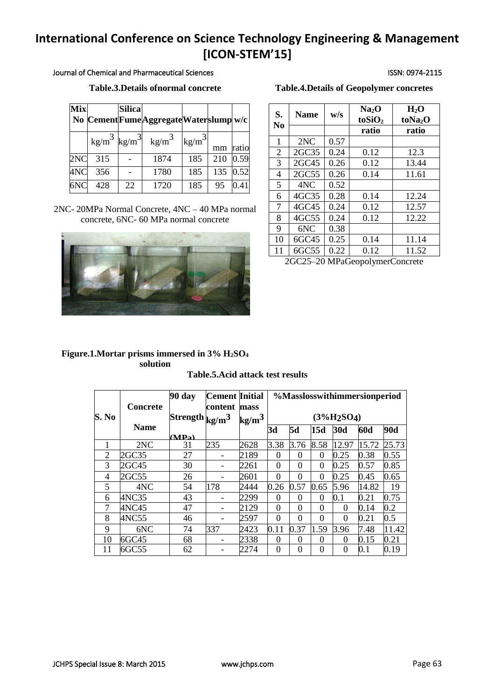# **International Conference on Science Technology Engineering & Management [ICON-STEM'15]**

Journal of Chemical and Pharmaceutical Sciences ISSN: 0974-2115

## **Table.3.Details of normal concrete Table.3.Details of normal concrete**

| <b>Mix</b> |                                   | <b>Silica</b> | No Cement Fume Aggregate Waterslump w/c |                 |     |       |
|------------|-----------------------------------|---------------|-----------------------------------------|-----------------|-----|-------|
|            | $\text{kg/m}^3$ kg/m <sup>3</sup> |               | $\text{kg/m}^3$                         | $\text{kg/m}^3$ | mm  | ratio |
| 2NC        | 315                               |               | 1874                                    | 185             | 210 | 0.59  |
| 4NC        | 356                               |               | 1780                                    | 185             | 135 | 0.52  |
| 6NC        | 428                               | 22            | 1720                                    | 185             | 95  | 0.41  |

2NC- 20MPa Normal Concrete, 4NC – 40 MPa normal concrete, 6NC- 60 MPa normal concrete



| <b>Table.4. Details of Geopolymer concretes</b> |  |  |
|-------------------------------------------------|--|--|
|                                                 |  |  |

| S.<br>N <sub>0</sub> | <b>Name</b> | w/s  | Na <sub>2</sub> O<br>$to$ SiO <sub>2</sub> | $H_2O$<br>toNa <sub>2</sub> O |
|----------------------|-------------|------|--------------------------------------------|-------------------------------|
|                      |             |      | ratio                                      | ratio                         |
| 1                    | 2NC         | 0.57 |                                            |                               |
| $\overline{2}$       | 2GC35       | 0.24 | 0.12                                       | 12.3                          |
| 3                    | 2GC45       | 0.26 | 0.12                                       | 13.44                         |
| 4                    | 2GC55       | 0.26 | 0.14                                       | 11.61                         |
| 5                    | 4NC         | 0.52 |                                            |                               |
| 6                    | 4GC35       | 0.28 | 0.14                                       | 12.24                         |
| 7                    | 4GC45       | 0.24 | 0.12                                       | 12.57                         |
| 8                    | 4GC55       | 0.24 | 0.12                                       | 12.22                         |
| 9                    | 6NC         | 0.38 |                                            |                               |
| 10                   | 6GC45       | 0.25 | 0.14                                       | 11.14                         |
| 11                   | 6GC55       | 0.22 | 0.12                                       | 11.52                         |

2GC25–20 MPaGeopolymerConcrete

## **Figure.1.Mortar prisms immersed in 3% H2SO<sup>4</sup> solution**

#### **Table.5.Acid attack test results**

|       |                 | 90 day                           | <b>Cement Initial</b> |                         | %Masslosswithimmersionperiod |           |          |          |       |            |
|-------|-----------------|----------------------------------|-----------------------|-------------------------|------------------------------|-----------|----------|----------|-------|------------|
| S. No | <b>Concrete</b> | Strength $\frac{\text{kg}}{m^3}$ | content               | mass<br>$\text{kg/m}^3$ | $(3\%H_2SO_4)$               |           |          |          |       |            |
|       | <b>Name</b>     | (MPa)                            |                       |                         | 3d                           | <b>5d</b> | 15d      | 30d      | 60d   | <b>90d</b> |
|       | 2NC             | 31                               | 235                   | 2628                    | 3.38                         | 3.76      | 8.58     | 12.97    | 15.72 | 25.73      |
| 2     | 2GC35           | 27                               |                       | 2189                    | $\Omega$                     | 0         | $\Omega$ | 0.25     | 0.38  | 0.55       |
| 3     | 2GC45           | 30                               |                       | 2261                    | $\Omega$                     | 0         | $\Omega$ | 0.25     | 0.57  | 0.85       |
| 4     | 2GC55           | 26                               |                       | 2601                    | $\theta$                     | 0         | $\theta$ | 0.25     | 0.45  | 0.65       |
| 5     | 4NC             | 54                               | 178                   | 2444                    | 0.26                         | 0.57      | 0.65     | 5.96     | 14.82 | 19         |
| 6     | 4NC35           | 43                               |                       | 2299                    | 0                            | 0         | $\Omega$ | 0.1      | 0.21  | 0.75       |
| 7     | 4NC45           | 47                               |                       | 2129                    | $\theta$                     | $\theta$  | 0        | $\Omega$ | 0.14  | 0.2        |
| 8     | 4NC55           | 46                               |                       | 2597                    | $\Omega$                     | 0         | $\Omega$ | $\Omega$ | 0.21  | 0.5        |
| 9     | 6NC             | 74                               | 337                   | 2423                    | 0.11                         | 0.37      | 1.59     | 3.96     | 7.48  | 11.42      |
| 10    | 6GC45           | 68                               |                       | 2338                    | $\theta$                     | $\Omega$  | 0        | $\theta$ | 0.15  | 0.21       |
| 11    | 6GC55           | 62                               |                       | 2274                    | $\Omega$                     | 0         | $\Omega$ | $\theta$ | 0.1   | 0.19       |